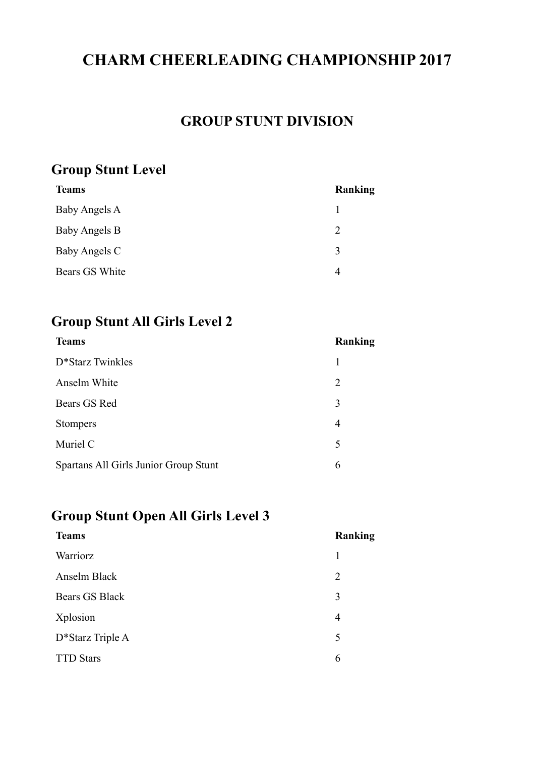# **CHARM CHEERLEADING CHAMPIONSHIP 2017**

## **GROUP STUNT DIVISION**

## **Group Stunt Level**

| <b>Teams</b>   | Ranking                     |
|----------------|-----------------------------|
| Baby Angels A  |                             |
| Baby Angels B  | $\mathcal{D}_{\mathcal{L}}$ |
| Baby Angels C  | 3                           |
| Bears GS White |                             |

#### **Group Stunt All Girls Level 2**

| <b>Teams</b>                          | Ranking        |
|---------------------------------------|----------------|
| D*Starz Twinkles                      | 1              |
| Anselm White                          | $\overline{2}$ |
| Bears GS Red                          | 3              |
| <b>Stompers</b>                       | 4              |
| Muriel C                              | 5              |
| Spartans All Girls Junior Group Stunt | 6              |

## **Group Stunt Open All Girls Level 3**

| <b>Teams</b>     | <b>Ranking</b> |
|------------------|----------------|
| Warriorz         | 1              |
| Anselm Black     | $\overline{2}$ |
| Bears GS Black   | 3              |
| Xplosion         | 4              |
| D*Starz Triple A | 5              |
| <b>TTD Stars</b> | 6              |
|                  |                |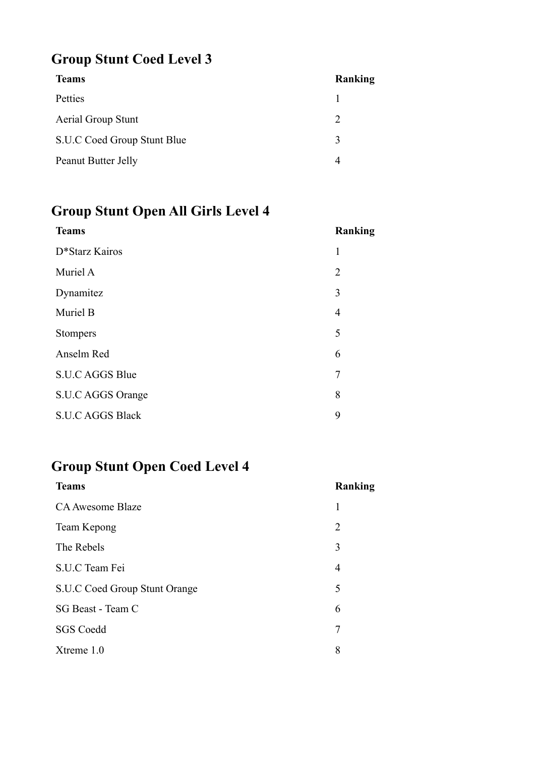# **Group Stunt Coed Level 3**

| <b>Teams</b>                | Ranking                     |
|-----------------------------|-----------------------------|
| Petties                     |                             |
| <b>Aerial Group Stunt</b>   | $\mathcal{D}_{\mathcal{A}}$ |
| S.U.C Coed Group Stunt Blue | 3                           |
| Peanut Butter Jelly         |                             |

# **Group Stunt Open All Girls Level 4**

| <b>Teams</b>            | Ranking        |
|-------------------------|----------------|
| D*Starz Kairos          | 1              |
| Muriel A                | 2              |
| Dynamitez               | 3              |
| Muriel B                | $\overline{4}$ |
| <b>Stompers</b>         | 5              |
| Anselm Red              | 6              |
| S.U.C AGGS Blue         | 7              |
| S.U.C AGGS Orange       | 8              |
| <b>S.U.C AGGS Black</b> | 9              |

# **Group Stunt Open Coed Level 4**

| <b>Teams</b>                  | <b>Ranking</b> |
|-------------------------------|----------------|
| CA Awesome Blaze              | 1              |
| Team Kepong                   | 2              |
| The Rebels                    | 3              |
| S.U.C Team Fei                | 4              |
| S.U.C Coed Group Stunt Orange | 5              |
| SG Beast - Team C             | 6              |
| <b>SGS Coedd</b>              | 7              |
| Xtreme 1.0                    | 8              |
|                               |                |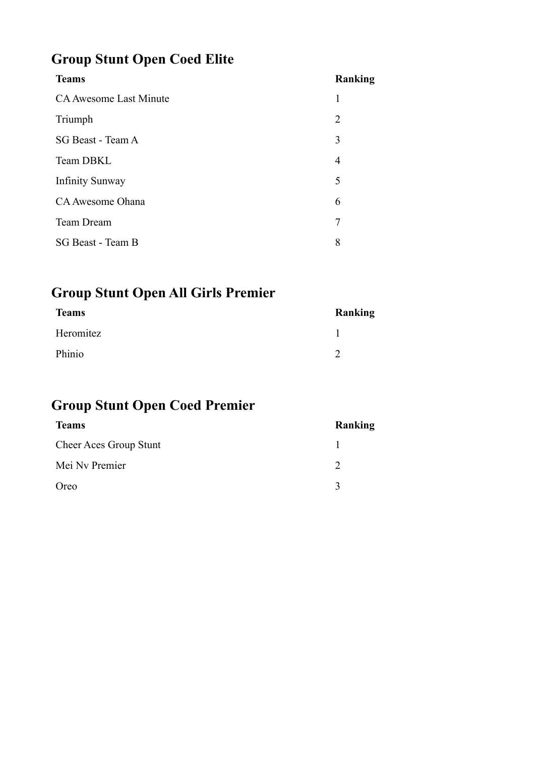# **Group Stunt Open Coed Elite**

| <b>Teams</b>                  | Ranking        |
|-------------------------------|----------------|
| <b>CA Awesome Last Minute</b> | 1              |
| Triumph                       | $\overline{2}$ |
| SG Beast - Team A             | 3              |
| Team DBKL                     | 4              |
| <b>Infinity Sunway</b>        | 5              |
| CA Awesome Ohana              | 6              |
| <b>Team Dream</b>             | 7              |
| SG Beast - Team B             | 8              |
|                               |                |

# **Group Stunt Open All Girls Premier**

| <b>Teams</b> | Ranking |
|--------------|---------|
| Heromitez    |         |
| Phinio       |         |

# **Group Stunt Open Coed Premier**

| <b>Teams</b>                  | Ranking           |
|-------------------------------|-------------------|
| <b>Cheer Aces Group Stunt</b> |                   |
| Mei Ny Premier                |                   |
| Oreo                          | $\mathbf{\Omega}$ |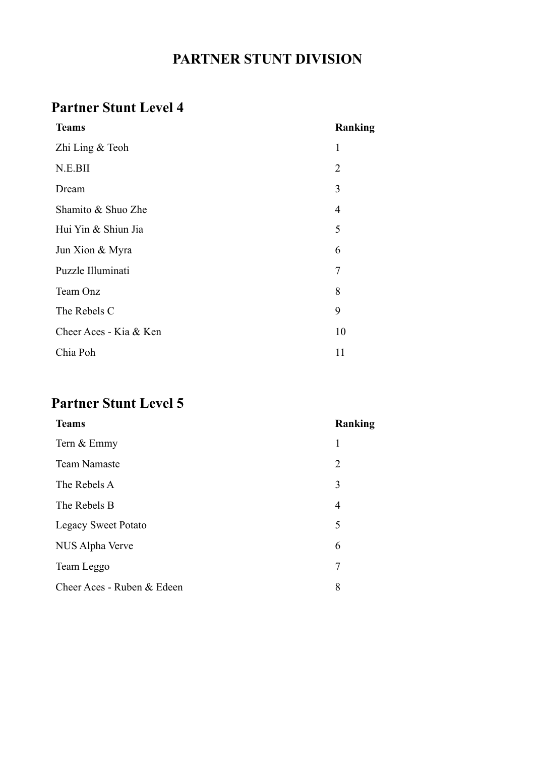# **PARTNER STUNT DIVISION**

# **Partner Stunt Level 4**

| <b>Teams</b>           | Ranking        |
|------------------------|----------------|
| Zhi Ling & Teoh        | 1              |
| N.E.BII                | $\overline{2}$ |
| Dream                  | 3              |
| Shamito & Shuo Zhe     | $\overline{4}$ |
| Hui Yin & Shiun Jia    | 5              |
| Jun Xion & Myra        | 6              |
| Puzzle Illuminati      | $\overline{7}$ |
| Team Onz               | 8              |
| The Rebels C           | 9              |
| Cheer Aces - Kia & Ken | 10             |
| Chia Poh               | 11             |

# **Partner Stunt Level 5**

| <b>Teams</b>               | Ranking        |
|----------------------------|----------------|
| Tern & Emmy                | 1              |
| <b>Team Namaste</b>        | $\overline{2}$ |
| The Rebels A               | 3              |
| The Rebels B               | $\overline{4}$ |
| <b>Legacy Sweet Potato</b> | 5              |
| NUS Alpha Verve            | 6              |
| Team Leggo                 | 7              |
| Cheer Aces - Ruben & Edeen | 8              |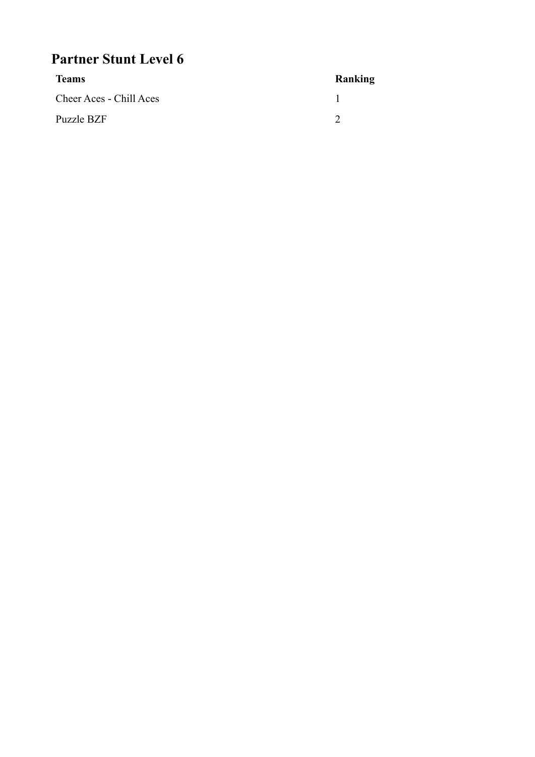# **Partner Stunt Level 6**

| <b>Teams</b>            | Ranking |
|-------------------------|---------|
| Cheer Aces - Chill Aces |         |
| Puzzle BZF              |         |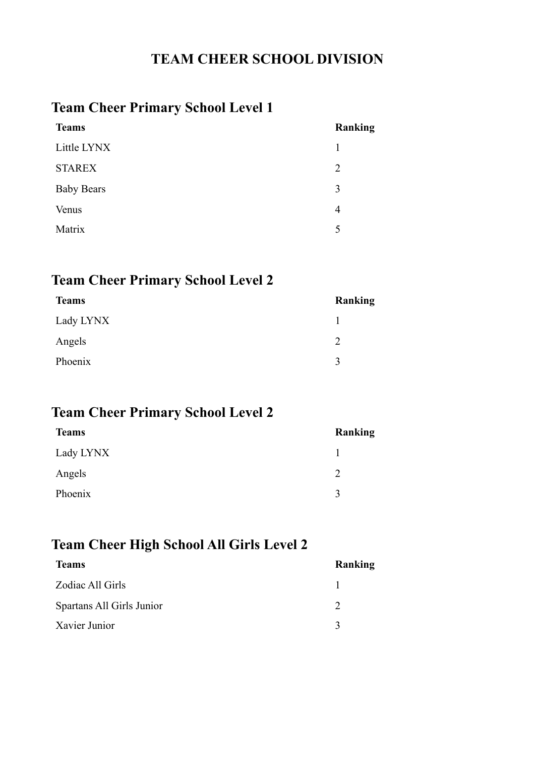#### **TEAM CHEER SCHOOL DIVISION**

## **Team Cheer Primary School Level 1**

| <b>Teams</b>      | <b>Ranking</b> |
|-------------------|----------------|
| Little LYNX       | 1              |
| <b>STAREX</b>     | 2              |
| <b>Baby Bears</b> | 3              |
| Venus             | $\overline{4}$ |
| Matrix            | 5              |
|                   |                |

#### **Team Cheer Primary School Level 2**

| <b>Teams</b> | Ranking |
|--------------|---------|
| Lady LYNX    |         |
| Angels       | າ       |
| Phoenix      | 2       |
|              |         |

## **Team Cheer Primary School Level 2**

| <b>Teams</b> | Ranking      |
|--------------|--------------|
| Lady LYNX    |              |
| Angels       | 2            |
| Phoenix      | $\mathbf{R}$ |
|              |              |

#### **Team Cheer High School All Girls Level 2**

| <b>Teams</b>              | Ranking |
|---------------------------|---------|
| Zodiac All Girls          |         |
| Spartans All Girls Junior |         |
| Xavier Junior             |         |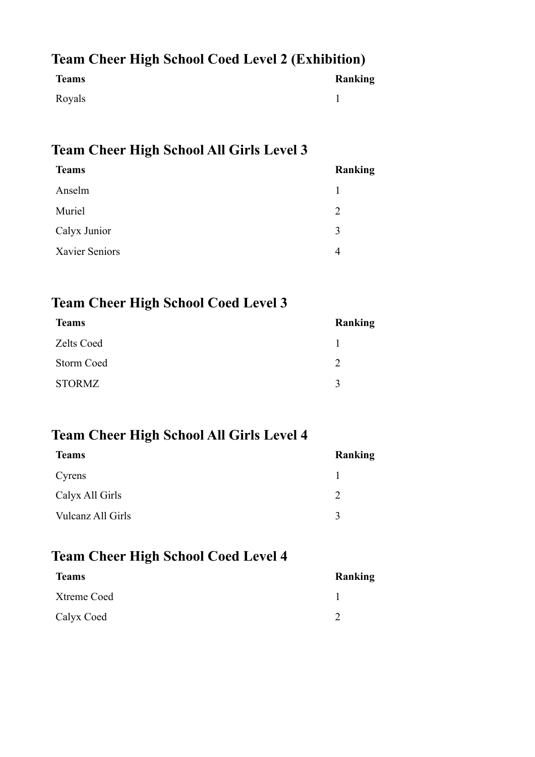## **Team Cheer High School Coed Level 2 (Exhibition)**

| <b>Teams</b> | <b>Ranking</b> |
|--------------|----------------|
| Royals       |                |

## **Team Cheer High School All Girls Level 3**

| <b>Teams</b>   | Ranking |
|----------------|---------|
| Anselm         |         |
| Muriel         | 2       |
| Calyx Junior   | 3       |
| Xavier Seniors |         |
|                |         |

## **Team Cheer High School Coed Level 3**

| <b>Teams</b>      | Ranking     |
|-------------------|-------------|
| <b>Zelts Coed</b> |             |
| Storm Coed        | C           |
| <b>STORMZ</b>     | $\mathbf 3$ |

## **Team Cheer High School All Girls Level 4**

| <b>Teams</b>      | Ranking      |
|-------------------|--------------|
| Cyrens            |              |
| Calyx All Girls   |              |
| Vulcanz All Girls | $\mathbf{R}$ |

#### **Team Cheer High School Coed Level 4**

| <b>Teams</b> | Ranking |
|--------------|---------|
| Xtreme Coed  |         |
| Calyx Coed   |         |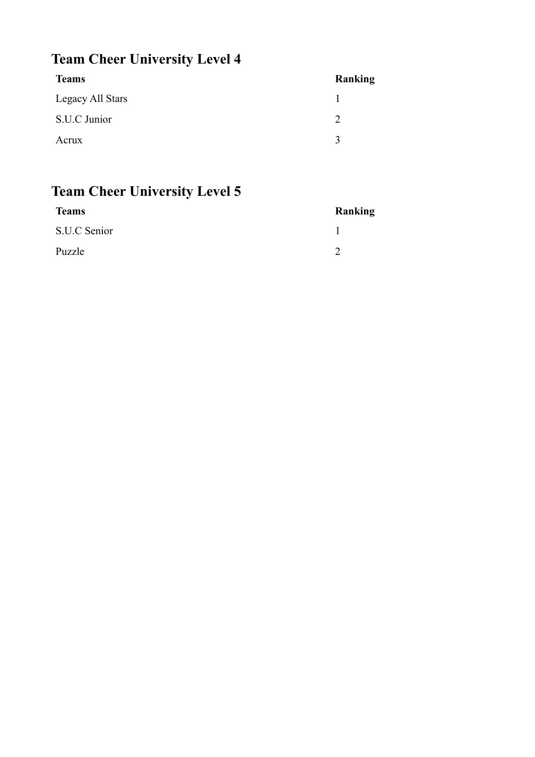# **Team Cheer University Level 4**

| <b>Teams</b>     | Ranking     |
|------------------|-------------|
| Legacy All Stars |             |
| S.U.C Junior     |             |
| Acrux            | $\mathbf 3$ |

# **Team Cheer University Level 5**

| <b>Teams</b> | Ranking |
|--------------|---------|
| S.U.C Senior |         |
| Puzzle       |         |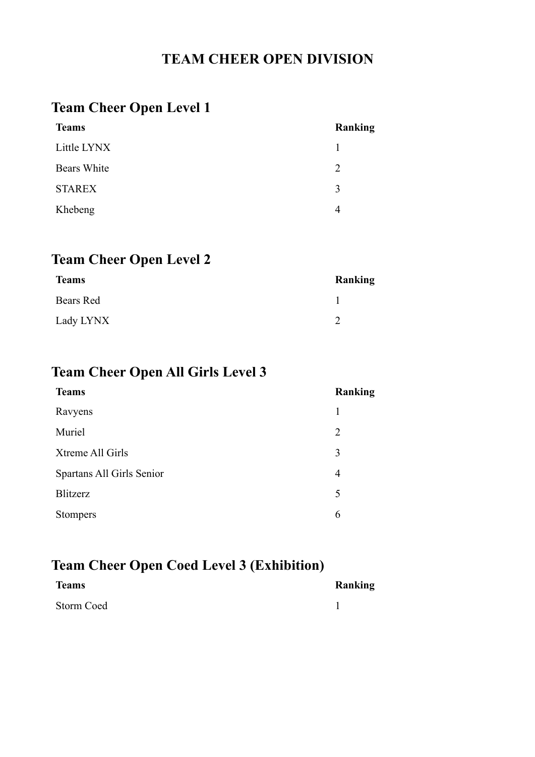## **TEAM CHEER OPEN DIVISION**

# **Team Cheer Open Level 1**

| <b>Teams</b>  | <b>Ranking</b> |
|---------------|----------------|
| Little LYNX   |                |
| Bears White   | $\mathcal{L}$  |
| <b>STAREX</b> | 3              |
| Khebeng       | 4              |
|               |                |

## **Team Cheer Open Level 2**

| <b>Teams</b> | Ranking |
|--------------|---------|
| Bears Red    |         |
| Lady LYNX    |         |

# **Team Cheer Open All Girls Level 3**

| <b>Teams</b>              | Ranking        |
|---------------------------|----------------|
| Ravyens                   | 1              |
| Muriel                    | $\overline{2}$ |
| Xtreme All Girls          | 3              |
| Spartans All Girls Senior | 4              |
| Blitzerz                  | 5              |
| <b>Stompers</b>           | 6              |

## **Team Cheer Open Coed Level 3 (Exhibition)**

| <b>Teams</b> | Ranking |
|--------------|---------|
| Storm Coed   |         |